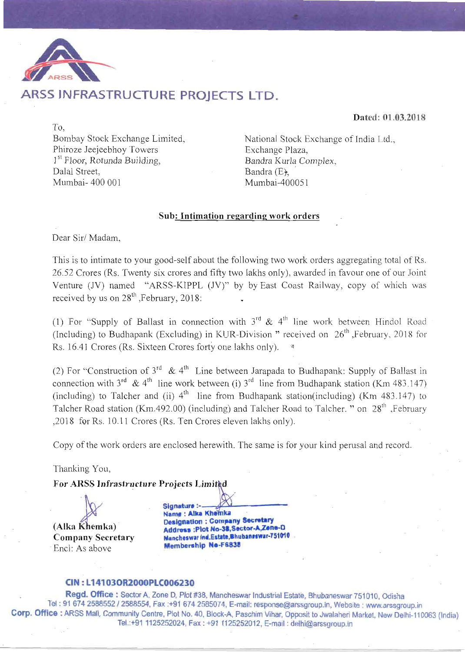

# ARSS INFRASTRUCTURE PROJECTS LTD.

Dated: 01.03.2018

To, Bombay Stock Exchange Limited, Phiroze Jeejeebhoy Towers 1<sup>st</sup> Floor, Rotunda Building, Dalal Street. Mumbai- 400 001

National Stock Exchange of India Ltd., Exchange Plaza, Bandra Kurla Complex, Bandra (E). Mumbai-400051

## Sub: Intimation regarding work orders

Dear Sir/Madam.

This is to intimate to your good-self about the following two work orders aggregating total of Rs. 26.52 Crores (Rs. Twenty six crores and fifty two lakhs only), awarded in favour one of our Joint Venture (JV) named "ARSS-KIPPL (JV)" by by East Coast Railway, copy of which was received by us on  $28^{th}$ , February, 2018:

(1) For "Supply of Ballast in connection with  $3^{rd}$  & 4<sup>th</sup> line work between Hindol Road (Including) to Budhapank (Excluding) in KUR-Division " received on  $26<sup>th</sup>$ . February, 2018 for Rs. 16.41 Crores (Rs. Sixteen Crores forty one lakhs only). \*

(2) For "Construction of  $3^{rd}$  & 4<sup>th</sup> Line between Jarapada to Budhapank: Supply of Ballast in connection with  $3^{rd}$  & 4<sup>th</sup> line work between (i)  $3^{rd}$  line from Budhapank station (Km 483.147) (including) to Talcher and (ii)  $4^{th}$  line from Budhapank station(including) (Km 483.147) to Talcher Road station (Km.492.00) (including) and Talcher Road to Talcher. " on 28<sup>th</sup> ,February ,2018 for Rs. 10.11 Crores (Rs. Ten Crores eleven lakhs only).

Copy of the work orders are enclosed herewith. The same is for your kind perusal and record.

Thanking You,

For ARSS Infrastructure Projects Limited

(Alka Khemka) **Company Secretary** Encl: As above

Signature :-Name: Alka Khemka **Designation : Company Secretary** Address :Plot No-38, Sector-A, Zene-D Mancheswar Ind.Estate, Bhubaneswar-751010 **Membership No-F6838** 

# CIN: L14103OR2000PLC006230

Regd. Office: Sector A, Zone D, Plot #38, Mancheswar Industrial Estate, Bhubaneswar 751010, Odisha Tel: 91 674 2588552 / 2588554, Fax:+91 674 2585074, E-mail: response@arssgroup.in, Website: www.arssgroup.in Corp. Office: ARSS Mall, Community Centre, Plot No. 40, Block-A, Paschim Vihar, Opposit to Jwalaheri Market, New Delhi-110063 (India) Tel.:+91 1125252024, Fax: +91 1125252012, E-mail: delhi@arssgroup.in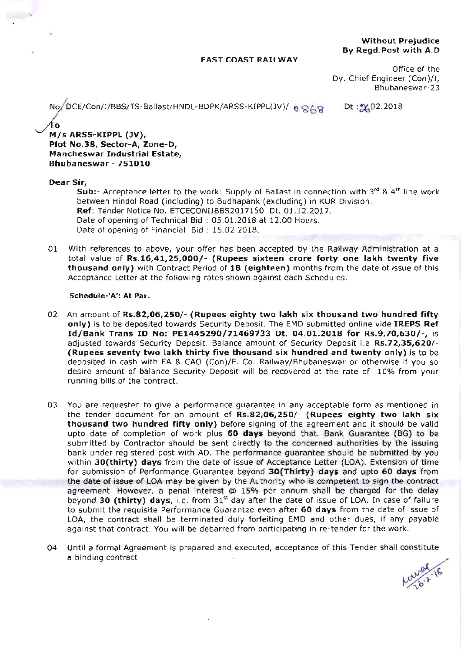EAST COAST RAILWAY

Office of the Dy. Chief Engineer (Con)/I. Bhubaneswar-23

No/DCE/Con/I/BBS/TS-Ballast/HNDL-BDPK/ARSS-KIPPL(JV)/ 0 868 Dt: 202.2018

#### Тο M/s ARSS-KIPPL (JV), Plot No.38, Sector-A, Zone-D, Mancheswar Industrial Estate, Bhubaneswar - 751O10

#### Dear Sir,

**Sub:-** Acceptance letter to the work: Supply of Ballast in connection with  $3^{rd}$  &  $4^{th}$  line work between Hindol Road (including) to Budhapank (excluding) in KUR Division. Ref: Tender Notice No. ETCECONIIBBS2017150 Dt. 01.12,2017. Date of opening of Technical Bid : 05.01.2018 at 12.00 Hours. Date of opening of Financial Bid : 15.02.2018.

01 With references to above, your offer has been accepted by the Railway Administration at a total value of Rs.16,41,25,000/- (Rupees sixteen crore forty one lakh twenty five thousand only) with Contract Period of 18 (eighteen) months from the date of Issue of this Acceptance Letter at the following rates shown against each Schedules.

#### Schedule-'A': At Par.

- 02 An amount of Rs.82,06,250/- (Rupees eighty two lakh six thousand two hundred fifty only) is to be deposited towards Security Deposit. The EMD submitted online vide IREPS Ref Id/Bank Trans ID No: PE1445290/71469733 Dt. 04.01.2018 for Rs.9,70,630/-, is adjusted towards Security Deposit. Balance amount of Security Deposit i.e Rs.72,35,620/-(Rupees seventy two lakh thirty five thousand six hundred and twenty only) is to be deposited in cash with FA & CAO (Con)/E. Co. Railway/Bhubaneswar or otherwise if you so desire amount of balance Security Deposit will be recovered at the rate of 10% from your running bills of the contract.
- 03 You are requested to give a performance guarantee in any acceptable form as mentioned in the tender document for an amount of Rs.82,06,250/- (Rupees eighty two lakh six thousand two hundred fifty only) before signing of the agreement and it should be valid upto date of completion of work plus 60 days beyond that. Bank Guarantee (BG) to be submitted by Contractor should be sent directly to the concerned authorities by the issuing bank under registered post with AD. The performance guarantee should be submitted by you within 30(thirty) days from the date of issue of Acceptance Letter (LOA). Extension of time for submission of Performance Guarantee beyond 30(Thirty) days and upto 60 days from the date of issue of LOA may be given by the Authority who is competent to sign the contract agreement. However, a penal interest @ 15% per annum shall be charged for the delay beyond 30 (thirty) days, i.e. from 31<sup>st</sup> day after the date of issue of LOA. In case of failure to submit the requisite Performance Guarantee even after 60 days from the date of issue of LoA, the contract shall be terminated duly forfeiting EMD and other dues, if any payable against that contract. You will be debarred from participating in re-tender for the work.
- 04 Until a formal Agreement is prepared and executed, acceptance of this Tender shall constitute a binding contract.

 $d\nu^{w}$ , 18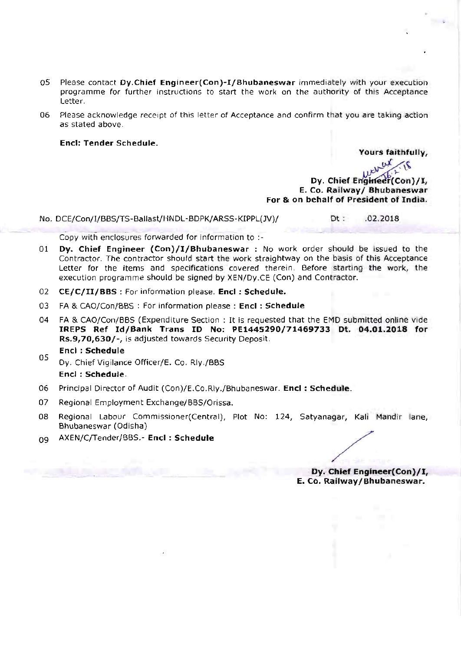- 05 Please contact Dy.Chief Engineer(Con)-I/Bhubaneswar immediately with your execution programme for further instructions to start the work on the authority of this Acceptance Letter.
- 06 Please acknowledge receipt of this letter of Acceptance and confirm that you are taking action as stated above.

Encl: Tender schedule.

Yours faithfully,

 $u_{\rm r,16}$ oy. Chief Engineer<br>E. Co. Railway/ Bhubaneswar For & on behalf of President of India.

No. DCE/Con/I/BBS/TS-Ballast/HNDL-BDPK/ARSS-KIPPL(JV)/ Dt: .02.2018

Copy with enclosures forwarded for information to :-

- 01 Dy. Chief Engineer (Con)/I/Bhubaneswar : No work order should be issued to the Contrador. The contractor should start the work straightway on the basis of this Acceptance Letter for the items and specifications covered therein. Before starting the work, the execution programme should be signed by XEN/Dy.CE (Con) and Contractor.
- o2 CE/C/II/BBS: For information please. Encl : Schedule.
- 03 FA & CAO/Con/BBS : For information please : Encl : Schedule
- o4 FA & CAO/Con/BBS (Expenditure Section : It is requested that the EMD submitted online vide IREPS Ref Id/Bank Trans ID No: PE1445290/71469733 Dt. 04.01.2018 for Rs.9,70,630/-, is adjusted towards Security Deposit. Encl : Schedule
- Dy. Chief Vigilance Officer/E. Co. Rly./8BS Encl : schedule. 05
- Principal Director of Audit (Con)/E.Co.Rly./Bhubaneswar. Encl : Schedule. 06
- Regional Employment Exchange/BBS/Orissa. 07
- Regional Labour Commissioner(Central), Plot No: 124, Satyana<mark>gar, Kali Mandir lane</mark>, Bhubaneswar (Odisha) o8
- AXEN/C/Tender/BBS.- Encl : Schedule 09

Dy. Chief Engineer(Con)/I, E. Co. Railway/Bhubaneswar.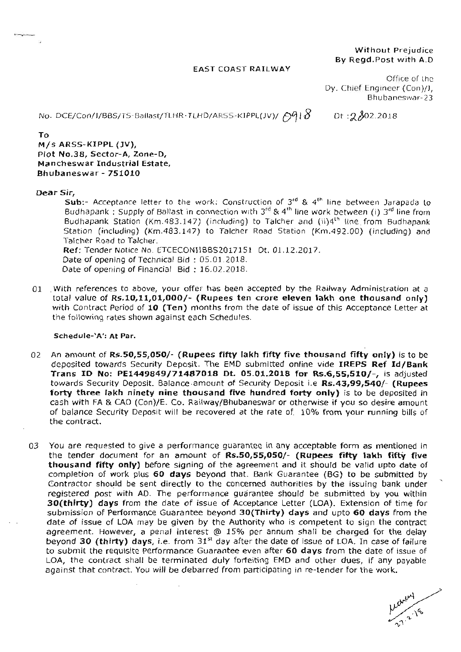EAST COAST RAILWAY

Without Prejudice By Regd.Post with A.D

Office of the Dv. Chief Engineer (Con)/J, Bhubaneswar-23

 $\alpha$  : DCE/Con/1/BBS/TS-Ballast/TLHR-TLHD/ARSS-KIPPL(JV)/  $\beta$ 91 $\beta$  bt :2 $\beta$ 02.2018

To M/s ARss-KIPPL (JV), Plot No.38, Sector-A, Zone-D, Mancheswar Industrial Estate, Bhubaneswar - 751010

#### Dear Sir,

**Sub:-** Acceptance letter to the work: Construction of 3<sup>rd</sup> & 4<sup>th</sup> line between Jarapada to Budhapank: Supply of Ballast in connection with  $3^{rd}$  & 4<sup>th</sup> line work between (i) 3<sup>rd</sup> line from Budhapank Station (Km.483. Ref: Tender Notice No. ETCECONIIBBS2017151 Dt. 01.12.2017. Date of opening of Technical Bid : 05.01.2018. Date of opening of Financial Bid : 16.02.2018.

01 With references to above, your offer has been accepted by the Railway Administration at a total value of Rs.10,11,01,000/- (Rupees ten crore eleven lakh one thousand only) with Contract Period of 10 (Ten) months from the d

#### Schedule-'A': At Par.

- 02 An amount of Rs.50,55,050/- (Rupees fifty lakh fifty five thousand fifty only) is to be deposited towards Security Deposit. The EMD submitted online vide IREPS Ref Id/Bank Trans ID No: PE1449849/71487018 Dt. 05.01.2018 fo
- 03 You are requested to give a performance guarantee in any acceptable form as mentioned in<br>the tender document for an amount of **Rs.50,55,050/-** (**Rupees fifty lakh fifty five**<br>thousand fifty only) before signing of the

uaney<br>16